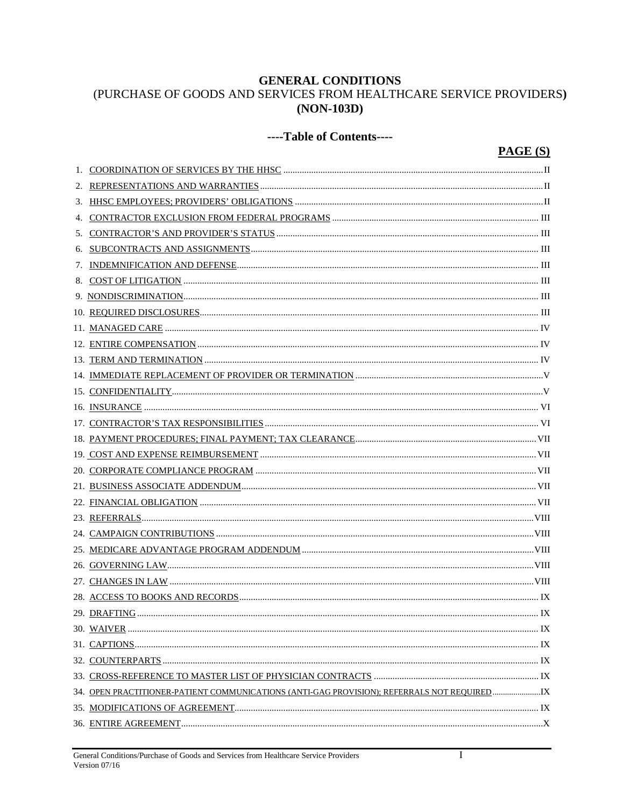## **GENERAL CONDITIONS**

# (PURCHASE OF GOODS AND SERVICES FROM HEALTHCARE SERVICE PROVIDERS)  $(NON-103D)$

## ----Table of Contents----

## $PAGE(S)$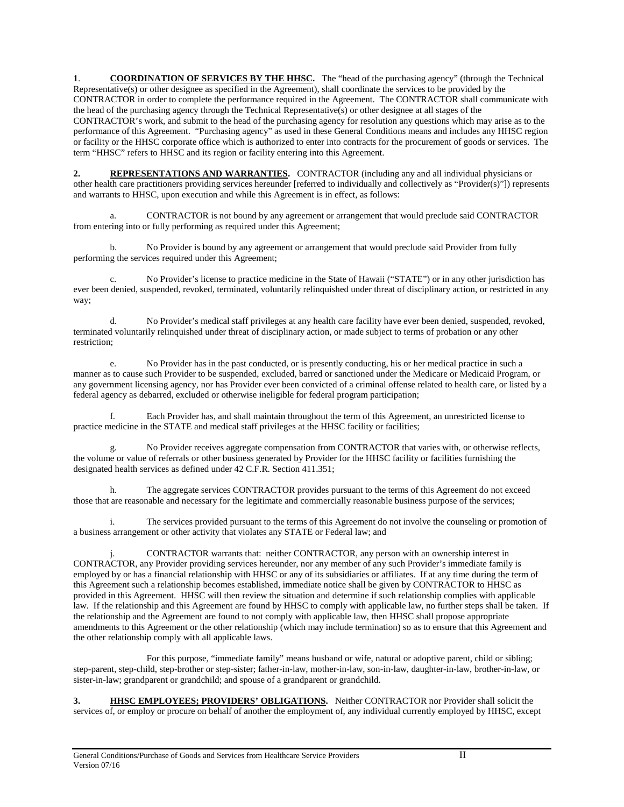**1**. **COORDINATION OF SERVICES BY THE HHSC.** The "head of the purchasing agency" (through the Technical Representative(s) or other designee as specified in the Agreement), shall coordinate the services to be provided by the CONTRACTOR in order to complete the performance required in the Agreement. The CONTRACTOR shall communicate with the head of the purchasing agency through the Technical Representative(s) or other designee at all stages of the CONTRACTOR's work, and submit to the head of the purchasing agency for resolution any questions which may arise as to the performance of this Agreement. "Purchasing agency" as used in these General Conditions means and includes any HHSC region or facility or the HHSC corporate office which is authorized to enter into contracts for the procurement of goods or services. The term "HHSC" refers to HHSC and its region or facility entering into this Agreement.

**2. REPRESENTATIONS AND WARRANTIES.** CONTRACTOR (including any and all individual physicians or other health care practitioners providing services hereunder [referred to individually and collectively as "Provider(s)"]) represents and warrants to HHSC, upon execution and while this Agreement is in effect, as follows:

a. CONTRACTOR is not bound by any agreement or arrangement that would preclude said CONTRACTOR from entering into or fully performing as required under this Agreement;

b. No Provider is bound by any agreement or arrangement that would preclude said Provider from fully performing the services required under this Agreement;

c. No Provider's license to practice medicine in the State of Hawaii ("STATE") or in any other jurisdiction has ever been denied, suspended, revoked, terminated, voluntarily relinquished under threat of disciplinary action, or restricted in any way;

d. No Provider's medical staff privileges at any health care facility have ever been denied, suspended, revoked, terminated voluntarily relinquished under threat of disciplinary action, or made subject to terms of probation or any other restriction;

e. No Provider has in the past conducted, or is presently conducting, his or her medical practice in such a manner as to cause such Provider to be suspended, excluded, barred or sanctioned under the Medicare or Medicaid Program, or any government licensing agency, nor has Provider ever been convicted of a criminal offense related to health care, or listed by a federal agency as debarred, excluded or otherwise ineligible for federal program participation;

f. Each Provider has, and shall maintain throughout the term of this Agreement, an unrestricted license to practice medicine in the STATE and medical staff privileges at the HHSC facility or facilities;

No Provider receives aggregate compensation from CONTRACTOR that varies with, or otherwise reflects, the volume or value of referrals or other business generated by Provider for the HHSC facility or facilities furnishing the designated health services as defined under 42 C.F.R. Section 411.351;

h. The aggregate services CONTRACTOR provides pursuant to the terms of this Agreement do not exceed those that are reasonable and necessary for the legitimate and commercially reasonable business purpose of the services;

i. The services provided pursuant to the terms of this Agreement do not involve the counseling or promotion of a business arrangement or other activity that violates any STATE or Federal law; and

j. CONTRACTOR warrants that: neither CONTRACTOR, any person with an ownership interest in CONTRACTOR, any Provider providing services hereunder, nor any member of any such Provider's immediate family is employed by or has a financial relationship with HHSC or any of its subsidiaries or affiliates. If at any time during the term of this Agreement such a relationship becomes established, immediate notice shall be given by CONTRACTOR to HHSC as provided in this Agreement. HHSC will then review the situation and determine if such relationship complies with applicable law. If the relationship and this Agreement are found by HHSC to comply with applicable law, no further steps shall be taken. If the relationship and the Agreement are found to not comply with applicable law, then HHSC shall propose appropriate amendments to this Agreement or the other relationship (which may include termination) so as to ensure that this Agreement and the other relationship comply with all applicable laws.

For this purpose, "immediate family" means husband or wife, natural or adoptive parent, child or sibling; step-parent, step-child, step-brother or step-sister; father-in-law, mother-in-law, son-in-law, daughter-in-law, brother-in-law, or sister-in-law; grandparent or grandchild; and spouse of a grandparent or grandchild.

**3. HHSC EMPLOYEES; PROVIDERS' OBLIGATIONS.** Neither CONTRACTOR nor Provider shall solicit the services of, or employ or procure on behalf of another the employment of, any individual currently employed by HHSC, except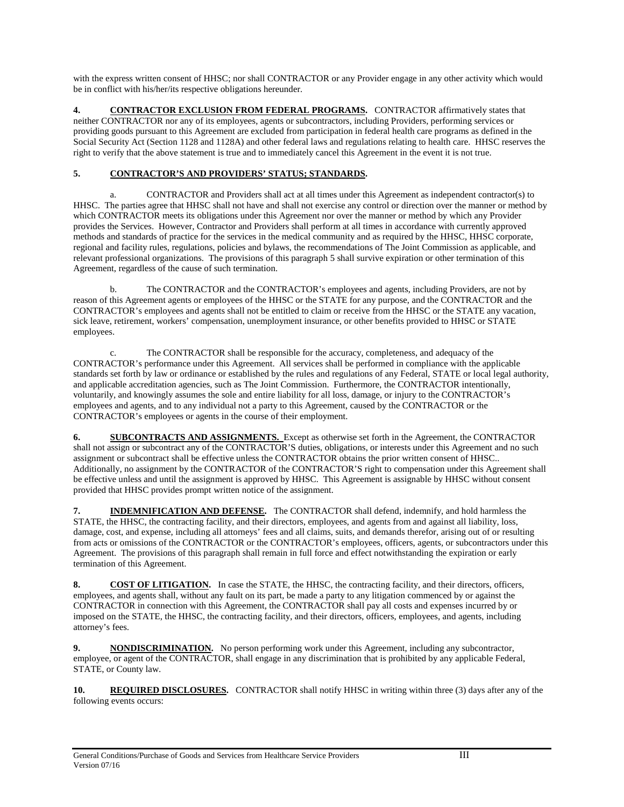with the express written consent of HHSC; nor shall CONTRACTOR or any Provider engage in any other activity which would be in conflict with his/her/its respective obligations hereunder.

**4. CONTRACTOR EXCLUSION FROM FEDERAL PROGRAMS.** CONTRACTOR affirmatively states that neither CONTRACTOR nor any of its employees, agents or subcontractors, including Providers, performing services or providing goods pursuant to this Agreement are excluded from participation in federal health care programs as defined in the Social Security Act (Section 1128 and 1128A) and other federal laws and regulations relating to health care. HHSC reserves the right to verify that the above statement is true and to immediately cancel this Agreement in the event it is not true.

### **5. CONTRACTOR'S AND PROVIDERS' STATUS; STANDARDS.**

a. CONTRACTOR and Providers shall act at all times under this Agreement as independent contractor(s) to HHSC. The parties agree that HHSC shall not have and shall not exercise any control or direction over the manner or method by which CONTRACTOR meets its obligations under this Agreement nor over the manner or method by which any Provider provides the Services. However, Contractor and Providers shall perform at all times in accordance with currently approved methods and standards of practice for the services in the medical community and as required by the HHSC, HHSC corporate, regional and facility rules, regulations, policies and bylaws, the recommendations of The Joint Commission as applicable, and relevant professional organizations. The provisions of this paragraph 5 shall survive expiration or other termination of this Agreement, regardless of the cause of such termination.

b. The CONTRACTOR and the CONTRACTOR's employees and agents, including Providers, are not by reason of this Agreement agents or employees of the HHSC or the STATE for any purpose, and the CONTRACTOR and the CONTRACTOR's employees and agents shall not be entitled to claim or receive from the HHSC or the STATE any vacation, sick leave, retirement, workers' compensation, unemployment insurance, or other benefits provided to HHSC or STATE employees.

c. The CONTRACTOR shall be responsible for the accuracy, completeness, and adequacy of the CONTRACTOR's performance under this Agreement. All services shall be performed in compliance with the applicable standards set forth by law or ordinance or established by the rules and regulations of any Federal, STATE or local legal authority, and applicable accreditation agencies, such as The Joint Commission. Furthermore, the CONTRACTOR intentionally, voluntarily, and knowingly assumes the sole and entire liability for all loss, damage, or injury to the CONTRACTOR's employees and agents, and to any individual not a party to this Agreement, caused by the CONTRACTOR or the CONTRACTOR's employees or agents in the course of their employment.

**6. SUBCONTRACTS AND ASSIGNMENTS.** Except as otherwise set forth in the Agreement, the CONTRACTOR shall not assign or subcontract any of the CONTRACTOR'S duties, obligations, or interests under this Agreement and no such assignment or subcontract shall be effective unless the CONTRACTOR obtains the prior written consent of HHSC.. Additionally, no assignment by the CONTRACTOR of the CONTRACTOR'S right to compensation under this Agreement shall be effective unless and until the assignment is approved by HHSC. This Agreement is assignable by HHSC without consent provided that HHSC provides prompt written notice of the assignment.

**7. INDEMNIFICATION AND DEFENSE.** The CONTRACTOR shall defend, indemnify, and hold harmless the STATE, the HHSC, the contracting facility, and their directors, employees, and agents from and against all liability, loss, damage, cost, and expense, including all attorneys' fees and all claims, suits, and demands therefor, arising out of or resulting from acts or omissions of the CONTRACTOR or the CONTRACTOR's employees, officers, agents, or subcontractors under this Agreement. The provisions of this paragraph shall remain in full force and effect notwithstanding the expiration or early termination of this Agreement.

**8. COST OF LITIGATION.** In case the STATE, the HHSC, the contracting facility, and their directors, officers, employees, and agents shall, without any fault on its part, be made a party to any litigation commenced by or against the CONTRACTOR in connection with this Agreement, the CONTRACTOR shall pay all costs and expenses incurred by or imposed on the STATE, the HHSC, the contracting facility, and their directors, officers, employees, and agents, including attorney's fees.

**9. NONDISCRIMINATION.** No person performing work under this Agreement, including any subcontractor, employee, or agent of the CONTRACTOR, shall engage in any discrimination that is prohibited by any applicable Federal, STATE, or County law.

**10. REQUIRED DISCLOSURES.** CONTRACTOR shall notify HHSC in writing within three (3) days after any of the following events occurs: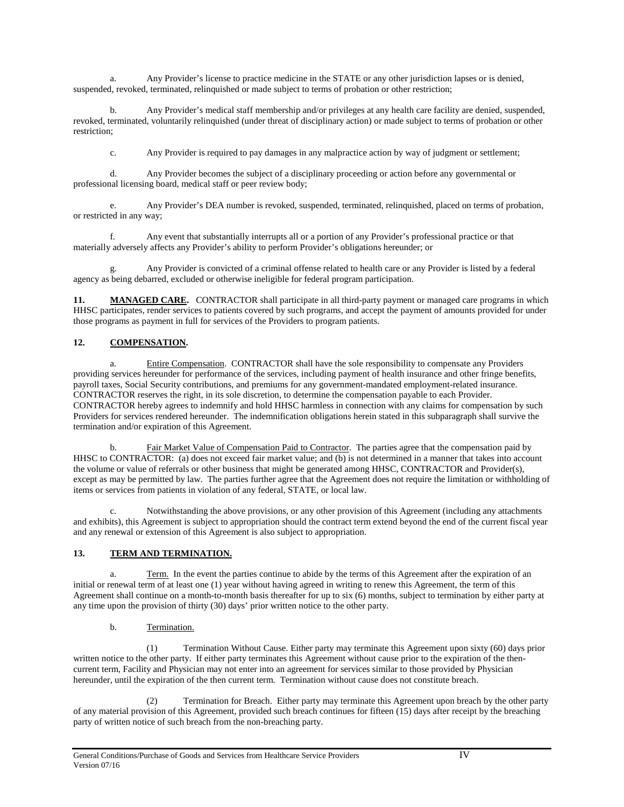a. Any Provider's license to practice medicine in the STATE or any other jurisdiction lapses or is denied, suspended, revoked, terminated, relinquished or made subject to terms of probation or other restriction;

b. Any Provider's medical staff membership and/or privileges at any health care facility are denied, suspended, revoked, terminated, voluntarily relinquished (under threat of disciplinary action) or made subject to terms of probation or other restriction;

c. Any Provider is required to pay damages in any malpractice action by way of judgment or settlement;

d. Any Provider becomes the subject of a disciplinary proceeding or action before any governmental or professional licensing board, medical staff or peer review body;

e. Any Provider's DEA number is revoked, suspended, terminated, relinquished, placed on terms of probation, or restricted in any way;

f. Any event that substantially interrupts all or a portion of any Provider's professional practice or that materially adversely affects any Provider's ability to perform Provider's obligations hereunder; or

g. Any Provider is convicted of a criminal offense related to health care or any Provider is listed by a federal agency as being debarred, excluded or otherwise ineligible for federal program participation.

11. **MANAGED CARE.** CONTRACTOR shall participate in all third-party payment or managed care programs in which HHSC participates, render services to patients covered by such programs, and accept the payment of amounts provided for under those programs as payment in full for services of the Providers to program patients.

### **12. COMPENSATION.**

Entire Compensation. CONTRACTOR shall have the sole responsibility to compensate any Providers providing services hereunder for performance of the services, including payment of health insurance and other fringe benefits, payroll taxes, Social Security contributions, and premiums for any government-mandated employment-related insurance. CONTRACTOR reserves the right, in its sole discretion, to determine the compensation payable to each Provider. CONTRACTOR hereby agrees to indemnify and hold HHSC harmless in connection with any claims for compensation by such Providers for services rendered hereunder. The indemnification obligations herein stated in this subparagraph shall survive the termination and/or expiration of this Agreement.

b. Fair Market Value of Compensation Paid to Contractor. The parties agree that the compensation paid by HHSC to CONTRACTOR: (a) does not exceed fair market value; and (b) is not determined in a manner that takes into account the volume or value of referrals or other business that might be generated among HHSC, CONTRACTOR and Provider(s), except as may be permitted by law. The parties further agree that the Agreement does not require the limitation or withholding of items or services from patients in violation of any federal, STATE, or local law.

c. Notwithstanding the above provisions, or any other provision of this Agreement (including any attachments and exhibits), this Agreement is subject to appropriation should the contract term extend beyond the end of the current fiscal year and any renewal or extension of this Agreement is also subject to appropriation.

### **13. TERM AND TERMINATION.**

a. Term. In the event the parties continue to abide by the terms of this Agreement after the expiration of an initial or renewal term of at least one (1) year without having agreed in writing to renew this Agreement, the term of this Agreement shall continue on a month-to-month basis thereafter for up to six (6) months, subject to termination by either party at any time upon the provision of thirty (30) days' prior written notice to the other party.

### b. Termination.

(1) Termination Without Cause. Either party may terminate this Agreement upon sixty (60) days prior written notice to the other party. If either party terminates this Agreement without cause prior to the expiration of the thencurrent term, Facility and Physician may not enter into an agreement for services similar to those provided by Physician hereunder, until the expiration of the then current term. Termination without cause does not constitute breach.

(2) Termination for Breach. Either party may terminate this Agreement upon breach by the other party of any material provision of this Agreement, provided such breach continues for fifteen (15) days after receipt by the breaching party of written notice of such breach from the non-breaching party.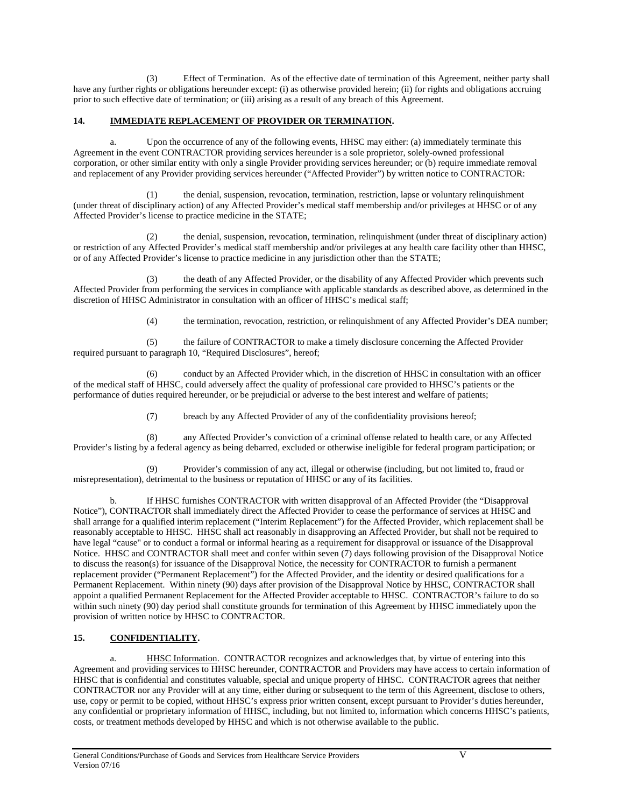(3) Effect of Termination. As of the effective date of termination of this Agreement, neither party shall have any further rights or obligations hereunder except: (i) as otherwise provided herein; (ii) for rights and obligations accruing prior to such effective date of termination; or (iii) arising as a result of any breach of this Agreement.

#### **14. IMMEDIATE REPLACEMENT OF PROVIDER OR TERMINATION.**

a. Upon the occurrence of any of the following events, HHSC may either: (a) immediately terminate this Agreement in the event CONTRACTOR providing services hereunder is a sole proprietor, solely-owned professional corporation, or other similar entity with only a single Provider providing services hereunder; or (b) require immediate removal and replacement of any Provider providing services hereunder ("Affected Provider") by written notice to CONTRACTOR:

(1) the denial, suspension, revocation, termination, restriction, lapse or voluntary relinquishment (under threat of disciplinary action) of any Affected Provider's medical staff membership and/or privileges at HHSC or of any Affected Provider's license to practice medicine in the STATE;

(2) the denial, suspension, revocation, termination, relinquishment (under threat of disciplinary action) or restriction of any Affected Provider's medical staff membership and/or privileges at any health care facility other than HHSC, or of any Affected Provider's license to practice medicine in any jurisdiction other than the STATE;

the death of any Affected Provider, or the disability of any Affected Provider which prevents such Affected Provider from performing the services in compliance with applicable standards as described above, as determined in the discretion of HHSC Administrator in consultation with an officer of HHSC's medical staff;

(4) the termination, revocation, restriction, or relinquishment of any Affected Provider's DEA number;

(5) the failure of CONTRACTOR to make a timely disclosure concerning the Affected Provider required pursuant to paragraph 10, "Required Disclosures", hereof;

(6) conduct by an Affected Provider which, in the discretion of HHSC in consultation with an officer of the medical staff of HHSC, could adversely affect the quality of professional care provided to HHSC's patients or the performance of duties required hereunder, or be prejudicial or adverse to the best interest and welfare of patients;

(7) breach by any Affected Provider of any of the confidentiality provisions hereof;

(8) any Affected Provider's conviction of a criminal offense related to health care, or any Affected Provider's listing by a federal agency as being debarred, excluded or otherwise ineligible for federal program participation; or

Provider's commission of any act, illegal or otherwise (including, but not limited to, fraud or misrepresentation), detrimental to the business or reputation of HHSC or any of its facilities.

b. If HHSC furnishes CONTRACTOR with written disapproval of an Affected Provider (the "Disapproval Notice"), CONTRACTOR shall immediately direct the Affected Provider to cease the performance of services at HHSC and shall arrange for a qualified interim replacement ("Interim Replacement") for the Affected Provider, which replacement shall be reasonably acceptable to HHSC. HHSC shall act reasonably in disapproving an Affected Provider, but shall not be required to have legal "cause" or to conduct a formal or informal hearing as a requirement for disapproval or issuance of the Disapproval Notice. HHSC and CONTRACTOR shall meet and confer within seven (7) days following provision of the Disapproval Notice to discuss the reason(s) for issuance of the Disapproval Notice, the necessity for CONTRACTOR to furnish a permanent replacement provider ("Permanent Replacement") for the Affected Provider, and the identity or desired qualifications for a Permanent Replacement. Within ninety (90) days after provision of the Disapproval Notice by HHSC, CONTRACTOR shall appoint a qualified Permanent Replacement for the Affected Provider acceptable to HHSC. CONTRACTOR's failure to do so within such ninety (90) day period shall constitute grounds for termination of this Agreement by HHSC immediately upon the provision of written notice by HHSC to CONTRACTOR.

### **15. CONFIDENTIALITY.**

a. HHSC Information. CONTRACTOR recognizes and acknowledges that, by virtue of entering into this Agreement and providing services to HHSC hereunder, CONTRACTOR and Providers may have access to certain information of HHSC that is confidential and constitutes valuable, special and unique property of HHSC. CONTRACTOR agrees that neither CONTRACTOR nor any Provider will at any time, either during or subsequent to the term of this Agreement, disclose to others, use, copy or permit to be copied, without HHSC's express prior written consent, except pursuant to Provider's duties hereunder, any confidential or proprietary information of HHSC, including, but not limited to, information which concerns HHSC's patients, costs, or treatment methods developed by HHSC and which is not otherwise available to the public.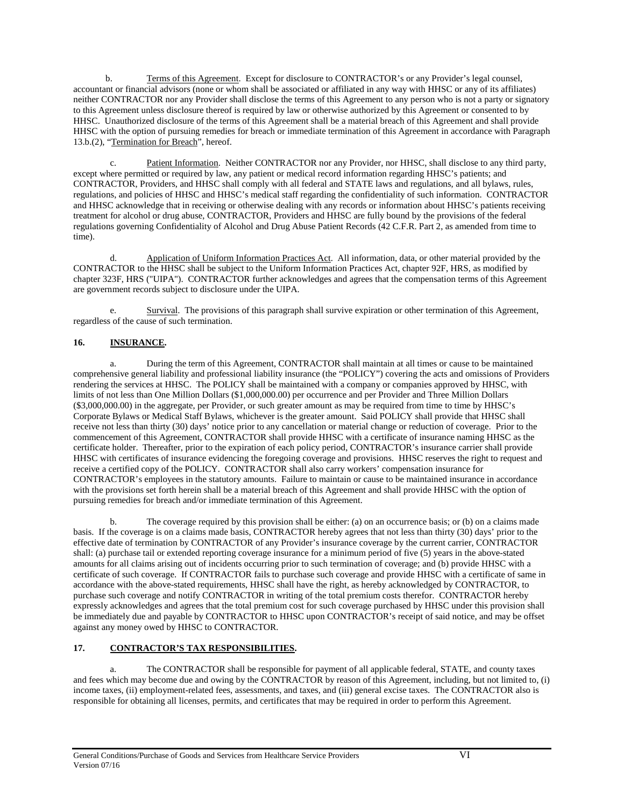b. Terms of this Agreement. Except for disclosure to CONTRACTOR's or any Provider's legal counsel, accountant or financial advisors (none or whom shall be associated or affiliated in any way with HHSC or any of its affiliates) neither CONTRACTOR nor any Provider shall disclose the terms of this Agreement to any person who is not a party or signatory to this Agreement unless disclosure thereof is required by law or otherwise authorized by this Agreement or consented to by HHSC. Unauthorized disclosure of the terms of this Agreement shall be a material breach of this Agreement and shall provide HHSC with the option of pursuing remedies for breach or immediate termination of this Agreement in accordance with Paragraph 13.b.(2), "Termination for Breach", hereof.

c. Patient Information. Neither CONTRACTOR nor any Provider, nor HHSC, shall disclose to any third party, except where permitted or required by law, any patient or medical record information regarding HHSC's patients; and CONTRACTOR, Providers, and HHSC shall comply with all federal and STATE laws and regulations, and all bylaws, rules, regulations, and policies of HHSC and HHSC's medical staff regarding the confidentiality of such information. CONTRACTOR and HHSC acknowledge that in receiving or otherwise dealing with any records or information about HHSC's patients receiving treatment for alcohol or drug abuse, CONTRACTOR, Providers and HHSC are fully bound by the provisions of the federal regulations governing Confidentiality of Alcohol and Drug Abuse Patient Records (42 C.F.R. Part 2, as amended from time to time).

d. Application of Uniform Information Practices Act. All information, data, or other material provided by the CONTRACTOR to the HHSC shall be subject to the Uniform Information Practices Act, chapter 92F, HRS, as modified by chapter 323F, HRS ("UIPA"). CONTRACTOR further acknowledges and agrees that the compensation terms of this Agreement are government records subject to disclosure under the UIPA.

e. Survival. The provisions of this paragraph shall survive expiration or other termination of this Agreement, regardless of the cause of such termination.

### **16. INSURANCE.**

a. During the term of this Agreement, CONTRACTOR shall maintain at all times or cause to be maintained comprehensive general liability and professional liability insurance (the "POLICY") covering the acts and omissions of Providers rendering the services at HHSC. The POLICY shall be maintained with a company or companies approved by HHSC, with limits of not less than One Million Dollars (\$1,000,000.00) per occurrence and per Provider and Three Million Dollars (\$3,000,000.00) in the aggregate, per Provider, or such greater amount as may be required from time to time by HHSC's Corporate Bylaws or Medical Staff Bylaws, whichever is the greater amount. Said POLICY shall provide that HHSC shall receive not less than thirty (30) days' notice prior to any cancellation or material change or reduction of coverage. Prior to the commencement of this Agreement, CONTRACTOR shall provide HHSC with a certificate of insurance naming HHSC as the certificate holder. Thereafter, prior to the expiration of each policy period, CONTRACTOR's insurance carrier shall provide HHSC with certificates of insurance evidencing the foregoing coverage and provisions. HHSC reserves the right to request and receive a certified copy of the POLICY. CONTRACTOR shall also carry workers' compensation insurance for CONTRACTOR's employees in the statutory amounts. Failure to maintain or cause to be maintained insurance in accordance with the provisions set forth herein shall be a material breach of this Agreement and shall provide HHSC with the option of pursuing remedies for breach and/or immediate termination of this Agreement.

b. The coverage required by this provision shall be either: (a) on an occurrence basis; or (b) on a claims made basis. If the coverage is on a claims made basis, CONTRACTOR hereby agrees that not less than thirty (30) days' prior to the effective date of termination by CONTRACTOR of any Provider's insurance coverage by the current carrier, CONTRACTOR shall: (a) purchase tail or extended reporting coverage insurance for a minimum period of five (5) years in the above-stated amounts for all claims arising out of incidents occurring prior to such termination of coverage; and (b) provide HHSC with a certificate of such coverage. If CONTRACTOR fails to purchase such coverage and provide HHSC with a certificate of same in accordance with the above-stated requirements, HHSC shall have the right, as hereby acknowledged by CONTRACTOR, to purchase such coverage and notify CONTRACTOR in writing of the total premium costs therefor. CONTRACTOR hereby expressly acknowledges and agrees that the total premium cost for such coverage purchased by HHSC under this provision shall be immediately due and payable by CONTRACTOR to HHSC upon CONTRACTOR's receipt of said notice, and may be offset against any money owed by HHSC to CONTRACTOR.

### **17. CONTRACTOR'S TAX RESPONSIBILITIES.**

a. The CONTRACTOR shall be responsible for payment of all applicable federal, STATE, and county taxes and fees which may become due and owing by the CONTRACTOR by reason of this Agreement, including, but not limited to, (i) income taxes, (ii) employment-related fees, assessments, and taxes, and (iii) general excise taxes. The CONTRACTOR also is responsible for obtaining all licenses, permits, and certificates that may be required in order to perform this Agreement.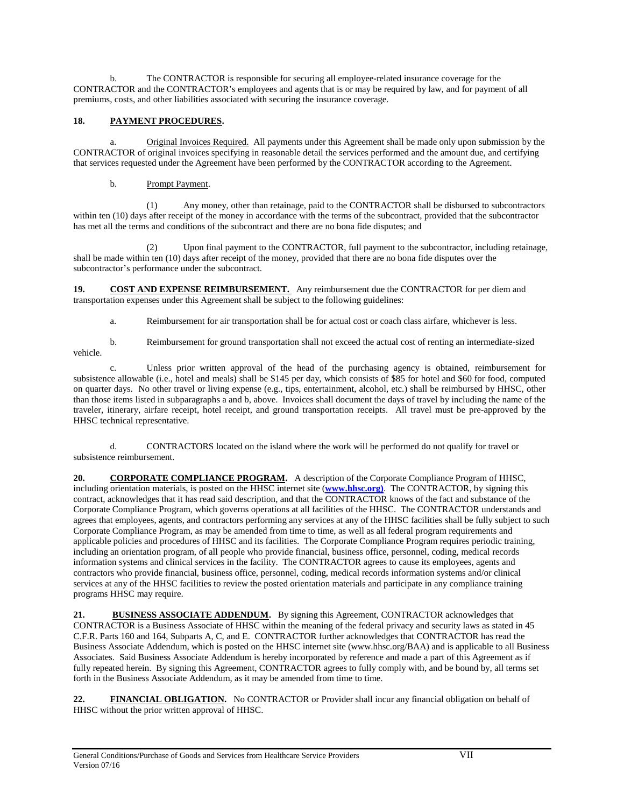b. The CONTRACTOR is responsible for securing all employee-related insurance coverage for the CONTRACTOR and the CONTRACTOR's employees and agents that is or may be required by law, and for payment of all premiums, costs, and other liabilities associated with securing the insurance coverage.

### **18. PAYMENT PROCEDURES.**

Original Invoices Required. All payments under this Agreement shall be made only upon submission by the CONTRACTOR of original invoices specifying in reasonable detail the services performed and the amount due, and certifying that services requested under the Agreement have been performed by the CONTRACTOR according to the Agreement.

### b. Prompt Payment.

(1) Any money, other than retainage, paid to the CONTRACTOR shall be disbursed to subcontractors within ten (10) days after receipt of the money in accordance with the terms of the subcontract, provided that the subcontractor has met all the terms and conditions of the subcontract and there are no bona fide disputes; and

(2) Upon final payment to the CONTRACTOR, full payment to the subcontractor, including retainage, shall be made within ten (10) days after receipt of the money, provided that there are no bona fide disputes over the subcontractor's performance under the subcontract.

19. **COST AND EXPENSE REIMBURSEMENT.** Any reimbursement due the CONTRACTOR for per diem and transportation expenses under this Agreement shall be subject to the following guidelines:

a. Reimbursement for air transportation shall be for actual cost or coach class airfare, whichever is less.

b. Reimbursement for ground transportation shall not exceed the actual cost of renting an intermediate-sized vehicle.

c. Unless prior written approval of the head of the purchasing agency is obtained, reimbursement for subsistence allowable (i.e., hotel and meals) shall be \$145 per day, which consists of \$85 for hotel and \$60 for food, computed on quarter days. No other travel or living expense (e.g., tips, entertainment, alcohol, etc.) shall be reimbursed by HHSC, other than those items listed in subparagraphs a and b, above. Invoices shall document the days of travel by including the name of the traveler, itinerary, airfare receipt, hotel receipt, and ground transportation receipts. All travel must be pre-approved by the HHSC technical representative.

d. CONTRACTORS located on the island where the work will be performed do not qualify for travel or subsistence reimbursement.

20. **CORPORATE COMPLIANCE PROGRAM.** A description of the Corporate Compliance Program of HHSC, including orientation materials, is posted on the HHSC internet site (**[www.hhsc.org\)](http://www.hhsc.org)/)**. The CONTRACTOR, by signing this contract, acknowledges that it has read said description, and that the CONTRACTOR knows of the fact and substance of the Corporate Compliance Program, which governs operations at all facilities of the HHSC. The CONTRACTOR understands and agrees that employees, agents, and contractors performing any services at any of the HHSC facilities shall be fully subject to such Corporate Compliance Program, as may be amended from time to time, as well as all federal program requirements and applicable policies and procedures of HHSC and its facilities. The Corporate Compliance Program requires periodic training, including an orientation program, of all people who provide financial, business office, personnel, coding, medical records information systems and clinical services in the facility. The CONTRACTOR agrees to cause its employees, agents and contractors who provide financial, business office, personnel, coding, medical records information systems and/or clinical services at any of the HHSC facilities to review the posted orientation materials and participate in any compliance training programs HHSC may require.

21. **BUSINESS ASSOCIATE ADDENDUM.** By signing this Agreement, CONTRACTOR acknowledges that CONTRACTOR is a Business Associate of HHSC within the meaning of the federal privacy and security laws as stated in 45 C.F.R. Parts 160 and 164, Subparts A, C, and E. CONTRACTOR further acknowledges that CONTRACTOR has read the Business Associate Addendum, which is posted on the HHSC internet site (www.hhsc.org/BAA) and is applicable to all Business Associates. Said Business Associate Addendum is hereby incorporated by reference and made a part of this Agreement as if fully repeated herein. By signing this Agreement, CONTRACTOR agrees to fully comply with, and be bound by, all terms set forth in the Business Associate Addendum, as it may be amended from time to time.

**22. FINANCIAL OBLIGATION.** No CONTRACTOR or Provider shall incur any financial obligation on behalf of HHSC without the prior written approval of HHSC.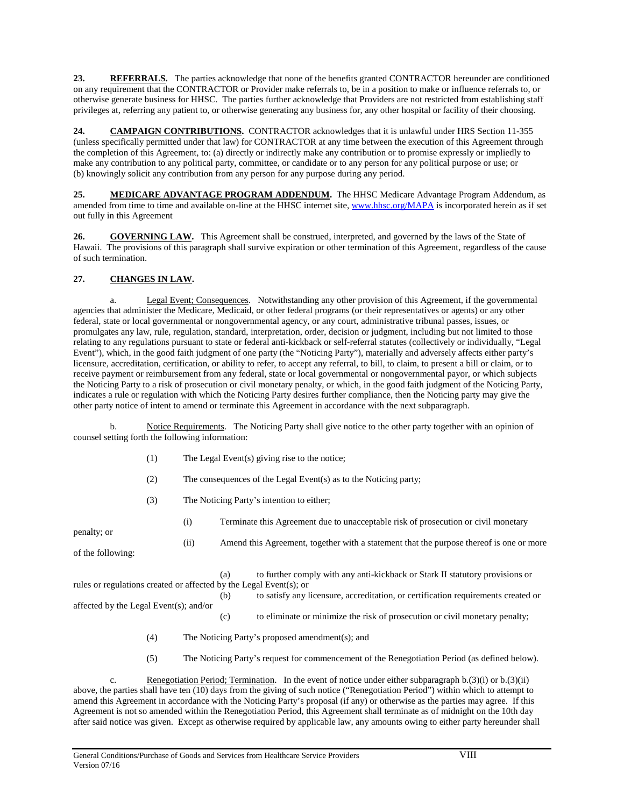23. **REFERRALS.** The parties acknowledge that none of the benefits granted CONTRACTOR hereunder are conditioned on any requirement that the CONTRACTOR or Provider make referrals to, be in a position to make or influence referrals to, or otherwise generate business for HHSC. The parties further acknowledge that Providers are not restricted from establishing staff privileges at, referring any patient to, or otherwise generating any business for, any other hospital or facility of their choosing.

**24. CAMPAIGN CONTRIBUTIONS.** CONTRACTOR acknowledges that it is unlawful under HRS Section 11-355 (unless specifically permitted under that law) for CONTRACTOR at any time between the execution of this Agreement through the completion of this Agreement, to: (a) directly or indirectly make any contribution or to promise expressly or impliedly to make any contribution to any political party, committee, or candidate or to any person for any political purpose or use; or (b) knowingly solicit any contribution from any person for any purpose during any period.

25. **MEDICARE ADVANTAGE PROGRAM ADDENDUM.** The HHSC Medicare Advantage Program Addendum, as amended from time to time and available on-line at the HHSC internet site, [www.hhsc.org/MAPA](http://www.hhsc.org/MAPA) is incorporated herein as if set out fully in this Agreement

**26. GOVERNING LAW.** This Agreement shall be construed, interpreted, and governed by the laws of the State of Hawaii. The provisions of this paragraph shall survive expiration or other termination of this Agreement, regardless of the cause of such termination.

### **27. CHANGES IN LAW.**

Legal Event; Consequences. Notwithstanding any other provision of this Agreement, if the governmental agencies that administer the Medicare, Medicaid, or other federal programs (or their representatives or agents) or any other federal, state or local governmental or nongovernmental agency, or any court, administrative tribunal passes, issues, or promulgates any law, rule, regulation, standard, interpretation, order, decision or judgment, including but not limited to those relating to any regulations pursuant to state or federal anti-kickback or self-referral statutes (collectively or individually, "Legal Event"), which, in the good faith judgment of one party (the "Noticing Party"), materially and adversely affects either party's licensure, accreditation, certification, or ability to refer, to accept any referral, to bill, to claim, to present a bill or claim, or to receive payment or reimbursement from any federal, state or local governmental or nongovernmental payor, or which subjects the Noticing Party to a risk of prosecution or civil monetary penalty, or which, in the good faith judgment of the Noticing Party, indicates a rule or regulation with which the Noticing Party desires further compliance, then the Noticing party may give the other party notice of intent to amend or terminate this Agreement in accordance with the next subparagraph.

b. Notice Requirements. The Noticing Party shall give notice to the other party together with an opinion of counsel setting forth the following information:

- (1) The Legal Event(s) giving rise to the notice;
- (2) The consequences of the Legal Event(s) as to the Noticing party;
- (3) The Noticing Party's intention to either;

penalty; or

(i) Terminate this Agreement due to unacceptable risk of prosecution or civil monetary

of the following:

(a) to further comply with any anti-kickback or Stark II statutory provisions or rules or regulations created or affected by the Legal Event(s); or

(ii) Amend this Agreement, together with a statement that the purpose thereof is one or more

(b) to satisfy any licensure, accreditation, or certification requirements created or

affected by the Legal Event(s); and/or

- (c) to eliminate or minimize the risk of prosecution or civil monetary penalty;
- (4) The Noticing Party's proposed amendment(s); and
- (5) The Noticing Party's request for commencement of the Renegotiation Period (as defined below).

c. Renegotiation Period; Termination. In the event of notice under either subparagraph b.(3)(i) or b.(3)(ii) above, the parties shall have ten (10) days from the giving of such notice ("Renegotiation Period") within which to attempt to amend this Agreement in accordance with the Noticing Party's proposal (if any) or otherwise as the parties may agree. If this Agreement is not so amended within the Renegotiation Period, this Agreement shall terminate as of midnight on the 10th day after said notice was given. Except as otherwise required by applicable law, any amounts owing to either party hereunder shall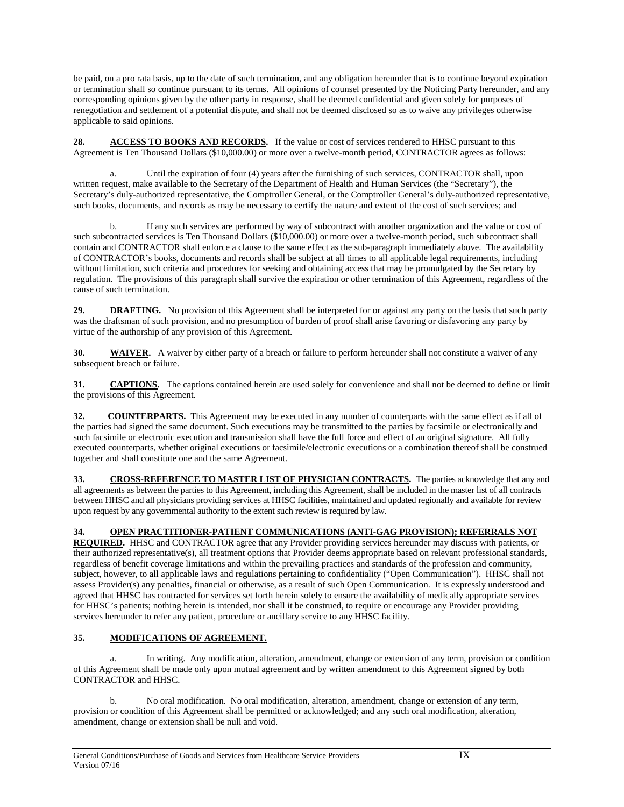be paid, on a pro rata basis, up to the date of such termination, and any obligation hereunder that is to continue beyond expiration or termination shall so continue pursuant to its terms. All opinions of counsel presented by the Noticing Party hereunder, and any corresponding opinions given by the other party in response, shall be deemed confidential and given solely for purposes of renegotiation and settlement of a potential dispute, and shall not be deemed disclosed so as to waive any privileges otherwise applicable to said opinions.

**28. ACCESS TO BOOKS AND RECORDS.** If the value or cost of services rendered to HHSC pursuant to this Agreement is Ten Thousand Dollars (\$10,000.00) or more over a twelve-month period, CONTRACTOR agrees as follows:

a. Until the expiration of four (4) years after the furnishing of such services, CONTRACTOR shall, upon written request, make available to the Secretary of the Department of Health and Human Services (the "Secretary"), the Secretary's duly-authorized representative, the Comptroller General, or the Comptroller General's duly-authorized representative, such books, documents, and records as may be necessary to certify the nature and extent of the cost of such services; and

b. If any such services are performed by way of subcontract with another organization and the value or cost of such subcontracted services is Ten Thousand Dollars (\$10,000.00) or more over a twelve-month period, such subcontract shall contain and CONTRACTOR shall enforce a clause to the same effect as the sub-paragraph immediately above. The availability of CONTRACTOR's books, documents and records shall be subject at all times to all applicable legal requirements, including without limitation, such criteria and procedures for seeking and obtaining access that may be promulgated by the Secretary by regulation. The provisions of this paragraph shall survive the expiration or other termination of this Agreement, regardless of the cause of such termination.

**29. DRAFTING.** No provision of this Agreement shall be interpreted for or against any party on the basis that such party was the draftsman of such provision, and no presumption of burden of proof shall arise favoring or disfavoring any party by virtue of the authorship of any provision of this Agreement.

**30. WAIVER.** A waiver by either party of a breach or failure to perform hereunder shall not constitute a waiver of any subsequent breach or failure.

**31. CAPTIONS.** The captions contained herein are used solely for convenience and shall not be deemed to define or limit the provisions of this Agreement.

**32. COUNTERPARTS.** This Agreement may be executed in any number of counterparts with the same effect as if all of the parties had signed the same document. Such executions may be transmitted to the parties by facsimile or electronically and such facsimile or electronic execution and transmission shall have the full force and effect of an original signature. All fully executed counterparts, whether original executions or facsimile/electronic executions or a combination thereof shall be construed together and shall constitute one and the same Agreement.

**33. CROSS-REFERENCE TO MASTER LIST OF PHYSICIAN CONTRACTS.** The parties acknowledge that any and all agreements as between the parties to this Agreement, including this Agreement, shall be included in the master list of all contracts between HHSC and all physicians providing services at HHSC facilities, maintained and updated regionally and available for review upon request by any governmental authority to the extent such review is required by law.

### **34. OPEN PRACTITIONER-PATIENT COMMUNICATIONS (ANTI-GAG PROVISION); REFERRALS NOT**

**REQUIRED.** HHSC and CONTRACTOR agree that any Provider providing services hereunder may discuss with patients, or their authorized representative(s), all treatment options that Provider deems appropriate based on relevant professional standards, regardless of benefit coverage limitations and within the prevailing practices and standards of the profession and community, subject, however, to all applicable laws and regulations pertaining to confidentiality ("Open Communication"). HHSC shall not assess Provider(s) any penalties, financial or otherwise, as a result of such Open Communication. It is expressly understood and agreed that HHSC has contracted for services set forth herein solely to ensure the availability of medically appropriate services for HHSC's patients; nothing herein is intended, nor shall it be construed, to require or encourage any Provider providing services hereunder to refer any patient, procedure or ancillary service to any HHSC facility.

### **35. MODIFICATIONS OF AGREEMENT.**

a. In writing. Any modification, alteration, amendment, change or extension of any term, provision or condition of this Agreement shall be made only upon mutual agreement and by written amendment to this Agreement signed by both CONTRACTOR and HHSC.

b. No oral modification. No oral modification, alteration, amendment, change or extension of any term, provision or condition of this Agreement shall be permitted or acknowledged; and any such oral modification, alteration, amendment, change or extension shall be null and void.